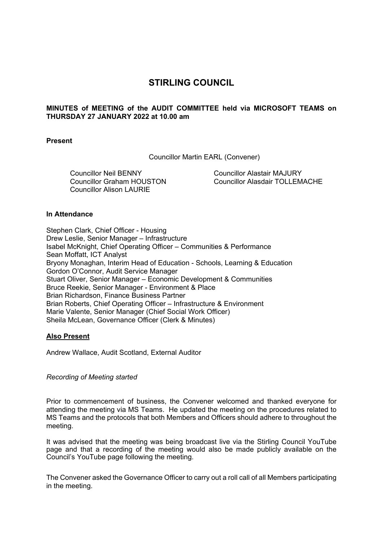# **STIRLING COUNCIL**

# **MINUTES of MEETING of the AUDIT COMMITTEE held via MICROSOFT TEAMS on THURSDAY 27 JANUARY 2022 at 10.00 am**

# **Present**

Councillor Martin EARL (Convener)

Councillor Neil BENNY Councillor Graham HOUSTON Councillor Alison LAURIE

Councillor Alastair MAJURY Councillor Alasdair TOLLEMACHE

# **In Attendance**

Stephen Clark, Chief Officer - Housing Drew Leslie, Senior Manager – Infrastructure Isabel McKnight, Chief Operating Officer – Communities & Performance Sean Moffatt, ICT Analyst Bryony Monaghan, Interim Head of Education - Schools, Learning & Education Gordon O'Connor, Audit Service Manager Stuart Oliver, Senior Manager – Economic Development & Communities Bruce Reekie, Senior Manager - Environment & Place Brian Richardson, Finance Business Partner Brian Roberts, Chief Operating Officer – Infrastructure & Environment Marie Valente, Senior Manager (Chief Social Work Officer) Sheila McLean, Governance Officer (Clerk & Minutes)

# **Also Present**

Andrew Wallace, Audit Scotland, External Auditor

*Recording of Meeting started* 

Prior to commencement of business, the Convener welcomed and thanked everyone for attending the meeting via MS Teams. He updated the meeting on the procedures related to MS Teams and the protocols that both Members and Officers should adhere to throughout the meeting.

It was advised that the meeting was being broadcast live via the Stirling Council YouTube page and that a recording of the meeting would also be made publicly available on the Council's YouTube page following the meeting.

The Convener asked the Governance Officer to carry out a roll call of all Members participating in the meeting.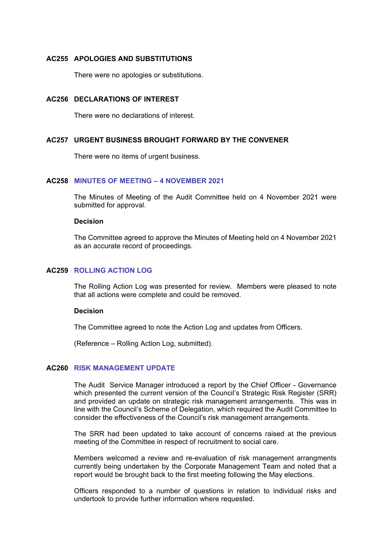# **AC255 APOLOGIES AND SUBSTITUTIONS**

There were no apologies or substitutions.

# **AC256 DECLARATIONS OF INTEREST**

There were no declarations of interest.

# **AC257 URGENT BUSINESS BROUGHT FORWARD BY THE CONVENER**

There were no items of urgent business.

# **AC258 MINUTES OF MEETING – 4 NOVEMBER 2021**

The Minutes of Meeting of the Audit Committee held on 4 November 2021 were submitted for approval.

#### **Decision**

The Committee agreed to approve the Minutes of Meeting held on 4 November 2021 as an accurate record of proceedings.

# **AC259 ROLLING ACTION LOG**

The Rolling Action Log was presented for review. Members were pleased to note that all actions were complete and could be removed.

#### **Decision**

The Committee agreed to note the Action Log and updates from Officers.

(Reference – Rolling Action Log, submitted).

# **AC260 RISK MANAGEMENT UPDATE**

The Audit Service Manager introduced a report by the Chief Officer - Governance which presented the current version of the Council's Strategic Risk Register (SRR) and provided an update on strategic risk management arrangements. This was in line with the Council's Scheme of Delegation, which required the Audit Committee to consider the effectiveness of the Council's risk management arrangements.

The SRR had been updated to take account of concerns raised at the previous meeting of the Committee in respect of recruitment to social care.

Members welcomed a review and re-evaluation of risk management arrangments currently being undertaken by the Corporate Management Team and noted that a report would be brought back to the first meeting following the May elections.

Officers responded to a number of questions in relation to individual risks and undertook to provide further information where requested.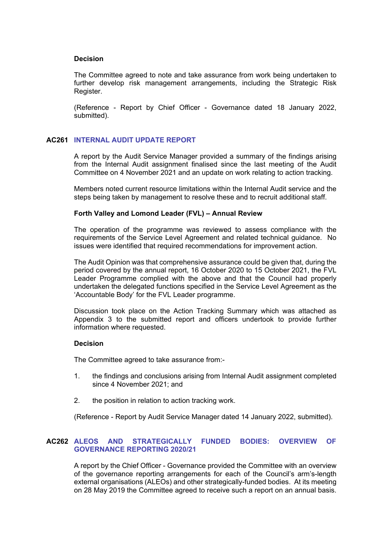# **Decision**

The Committee agreed to note and take assurance from work being undertaken to further develop risk management arrangements, including the Strategic Risk Register.

(Reference - Report by Chief Officer - Governance dated 18 January 2022, submitted).

# **AC261 INTERNAL AUDIT UPDATE REPORT**

A report by the Audit Service Manager provided a summary of the findings arising from the Internal Audit assignment finalised since the last meeting of the Audit Committee on 4 November 2021 and an update on work relating to action tracking.

Members noted current resource limitations within the Internal Audit service and the steps being taken by management to resolve these and to recruit additional staff.

# **Forth Valley and Lomond Leader (FVL) – Annual Review**

The operation of the programme was reviewed to assess compliance with the requirements of the Service Level Agreement and related technical guidance. No issues were identified that required recommendations for improvement action.

The Audit Opinion was that comprehensive assurance could be given that, during the period covered by the annual report, 16 October 2020 to 15 October 2021, the FVL Leader Programme complied with the above and that the Council had properly undertaken the delegated functions specified in the Service Level Agreement as the 'Accountable Body' for the FVL Leader programme.

Discussion took place on the Action Tracking Summary which was attached as Appendix 3 to the submitted report and officers undertook to provide further information where requested.

# **Decision**

The Committee agreed to take assurance from:-

- 1. the findings and conclusions arising from Internal Audit assignment completed since 4 November 2021; and
- 2. the position in relation to action tracking work.

(Reference - Report by Audit Service Manager dated 14 January 2022, submitted).

# **AC262 ALEOS AND STRATEGICALLY FUNDED BODIES: OVERVIEW OF GOVERNANCE REPORTING 2020/21**

A report by the Chief Officer - Governance provided the Committee with an overview of the governance reporting arrangements for each of the Council's arm's-length external organisations (ALEOs) and other strategically-funded bodies. At its meeting on 28 May 2019 the Committee agreed to receive such a report on an annual basis.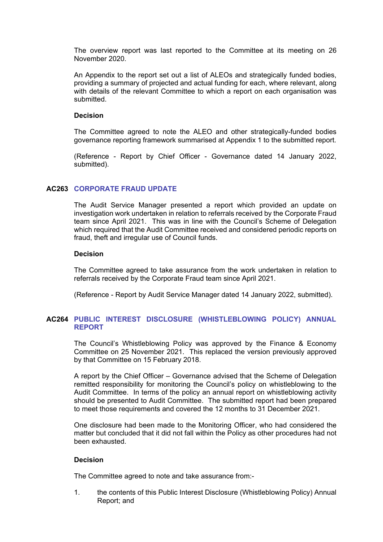The overview report was last reported to the Committee at its meeting on 26 November 2020.

An Appendix to the report set out a list of ALEOs and strategically funded bodies, providing a summary of projected and actual funding for each, where relevant, along with details of the relevant Committee to which a report on each organisation was submitted.

#### **Decision**

The Committee agreed to note the ALEO and other strategically-funded bodies governance reporting framework summarised at Appendix 1 to the submitted report.

(Reference - Report by Chief Officer - Governance dated 14 January 2022, submitted).

# **AC263 CORPORATE FRAUD UPDATE**

The Audit Service Manager presented a report which provided an update on investigation work undertaken in relation to referrals received by the Corporate Fraud team since April 2021. This was in line with the Council's Scheme of Delegation which required that the Audit Committee received and considered periodic reports on fraud, theft and irregular use of Council funds.

#### **Decision**

The Committee agreed to take assurance from the work undertaken in relation to referrals received by the Corporate Fraud team since April 2021.

(Reference - Report by Audit Service Manager dated 14 January 2022, submitted).

# **AC264 PUBLIC INTEREST DISCLOSURE (WHISTLEBLOWING POLICY) ANNUAL REPORT**

The Council's Whistleblowing Policy was approved by the Finance & Economy Committee on 25 November 2021. This replaced the version previously approved by that Committee on 15 February 2018.

A report by the Chief Officer – Governance advised that the Scheme of Delegation remitted responsibility for monitoring the Council's policy on whistleblowing to the Audit Committee. In terms of the policy an annual report on whistleblowing activity should be presented to Audit Committee. The submitted report had been prepared to meet those requirements and covered the 12 months to 31 December 2021.

One disclosure had been made to the Monitoring Officer, who had considered the matter but concluded that it did not fall within the Policy as other procedures had not been exhausted.

# **Decision**

The Committee agreed to note and take assurance from:-

1. the contents of this Public Interest Disclosure (Whistleblowing Policy) Annual Report; and